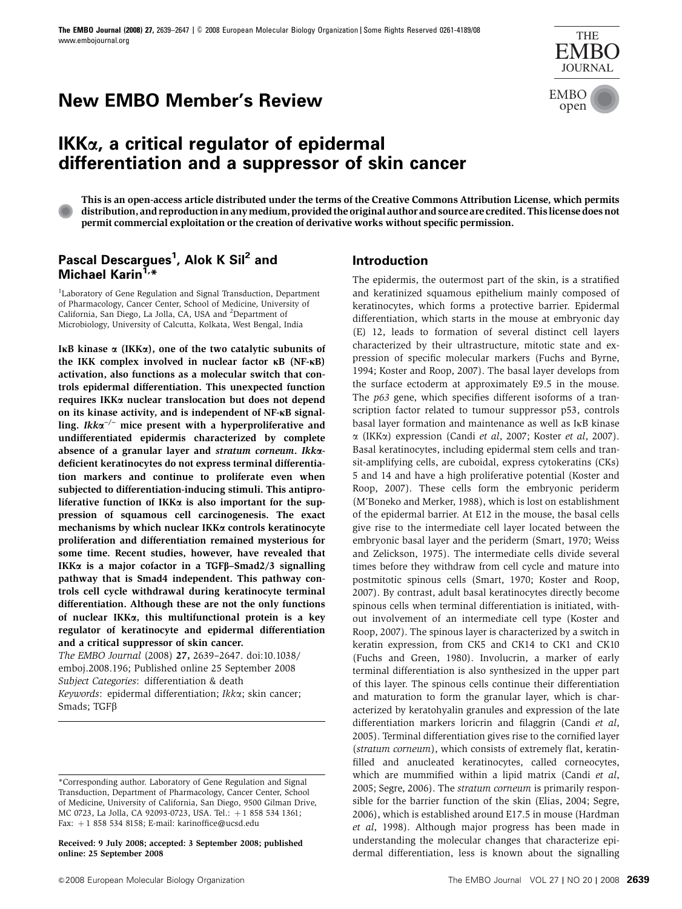# **New EMBO Member's Review EMBO** open



## **IKK**a**, a critical regulator of epidermal differentiation and a suppressor of skin cancer**

This is an open-access article distributed under the terms of the Creative Commons Attribution License, which permits distribution, and reproduction in anymedium, provided the original author and source are credited. This license does not permit commercial exploitation or the creation of derivative works without specific permission.

## **Pascal Descargues1 , Alok K Sil<sup>2</sup> and** Michael Karin<sup>1,\*</sup>

<sup>1</sup>Laboratory of Gene Regulation and Signal Transduction, Department of Pharmacology, Cancer Center, School of Medicine, University of California, San Diego, La Jolla, CA, USA and <sup>2</sup>Department of Microbiology, University of Calcutta, Kolkata, West Bengal, India

IKB kinase  $\alpha$  (IKK $\alpha$ ), one of the two catalytic subunits of the IKK complex involved in nuclear factor  $\kappa$ B (NF- $\kappa$ B) activation, also functions as a molecular switch that controls epidermal differentiation. This unexpected function requires IKKa nuclear translocation but does not depend on its kinase activity, and is independent of NF-KB signalling. Ikk $\alpha^{-/-}$  mice present with a hyperproliferative and undifferentiated epidermis characterized by complete absence of a granular layer and stratum corneum. Ikkadeficient keratinocytes do not express terminal differentiation markers and continue to proliferate even when subjected to differentiation-inducing stimuli. This antiproliferative function of IKK $\alpha$  is also important for the suppression of squamous cell carcinogenesis. The exact mechanisms by which nuclear IKKa controls keratinocyte proliferation and differentiation remained mysterious for some time. Recent studies, however, have revealed that IKK $\alpha$  is a major cofactor in a TGF $\beta$ –Smad2/3 signalling pathway that is Smad4 independent. This pathway controls cell cycle withdrawal during keratinocyte terminal differentiation. Although these are not the only functions of nuclear IKKa, this multifunctional protein is a key regulator of keratinocyte and epidermal differentiation and a critical suppressor of skin cancer.

The EMBO Journal (2008) 27, 2639–2647. doi[:10.1038/](http://dx.doi.org/10.1038/emboj.2008.196) [emboj.2008.196;](http://dx.doi.org/10.1038/emboj.2008.196) Published online 25 September 2008 Subject Categories: differentiation & death Keywords: epidermal differentiation; Ikka; skin cancer; Smads; TGF<sub>B</sub>

Received: 9 July 2008; accepted: 3 September 2008; published online: 25 September 2008

#### **Introduction**

The epidermis, the outermost part of the skin, is a stratified and keratinized squamous epithelium mainly composed of keratinocytes, which forms a protective barrier. Epidermal differentiation, which starts in the mouse at embryonic day (E) 12, leads to formation of several distinct cell layers characterized by their ultrastructure, mitotic state and expression of specific molecular markers ([Fuchs and Byrne,](#page-6-0) [1994](#page-6-0); [Koster and Roop, 2007](#page-7-0)). The basal layer develops from the surface ectoderm at approximately E9.5 in the mouse. The p63 gene, which specifies different isoforms of a transcription factor related to tumour suppressor p53, controls basal layer formation and maintenance as well as IkB kinase  $\alpha$  (IKK $\alpha$ ) expression (Candi et al[, 2007](#page-6-0); [Koster](#page-7-0) et al, 2007). Basal keratinocytes, including epidermal stem cells and transit-amplifying cells, are cuboidal, express cytokeratins (CKs) 5 and 14 and have a high proliferative potential ([Koster and](#page-7-0) [Roop, 2007](#page-7-0)). These cells form the embryonic periderm [\(M'Boneko and Merker, 1988](#page-7-0)), which is lost on establishment of the epidermal barrier. At E12 in the mouse, the basal cells give rise to the intermediate cell layer located between the embryonic basal layer and the periderm [\(Smart, 1970; Weiss](#page-8-0) [and Zelickson, 1975](#page-8-0)). The intermediate cells divide several times before they withdraw from cell cycle and mature into postmitotic spinous cells ([Smart, 1970](#page-8-0); [Koster and Roop,](#page-7-0) [2007](#page-7-0)). By contrast, adult basal keratinocytes directly become spinous cells when terminal differentiation is initiated, without involvement of an intermediate cell type [\(Koster and](#page-7-0) [Roop, 2007](#page-7-0)). The spinous layer is characterized by a switch in keratin expression, from CK5 and CK14 to CK1 and CK10 [\(Fuchs and Green, 1980\)](#page-6-0). Involucrin, a marker of early terminal differentiation is also synthesized in the upper part of this layer. The spinous cells continue their differentiation and maturation to form the granular layer, which is characterized by keratohyalin granules and expression of the late differentiation markers loricrin and filaggrin [\(Candi](#page-6-0) et al, [2005](#page-6-0)). Terminal differentiation gives rise to the cornified layer (stratum corneum), which consists of extremely flat, keratinfilled and anucleated keratinocytes, called corneocytes, which are mummified within a lipid matrix ([Candi](#page-6-0) et al, [2005](#page-6-0); [Segre, 2006](#page-7-0)). The stratum corneum is primarily responsible for the barrier function of the skin ([Elias, 2004;](#page-6-0) [Segre,](#page-7-0) [2006](#page-7-0)), which is established around E17.5 in mouse ([Hardman](#page-7-0) et al[, 1998](#page-7-0)). Although major progress has been made in understanding the molecular changes that characterize epidermal differentiation, less is known about the signalling

<sup>\*</sup>Corresponding author. Laboratory of Gene Regulation and Signal Transduction, Department of Pharmacology, Cancer Center, School of Medicine, University of California, San Diego, 9500 Gilman Drive, MC 0723, La Jolla, CA 92093-0723, USA. Tel.: +1 858 534 1361; Fax: +1 858 534 8158; E-mail: [karinoffice@ucsd.edu](mailto:karinoffice@ucsd.edu)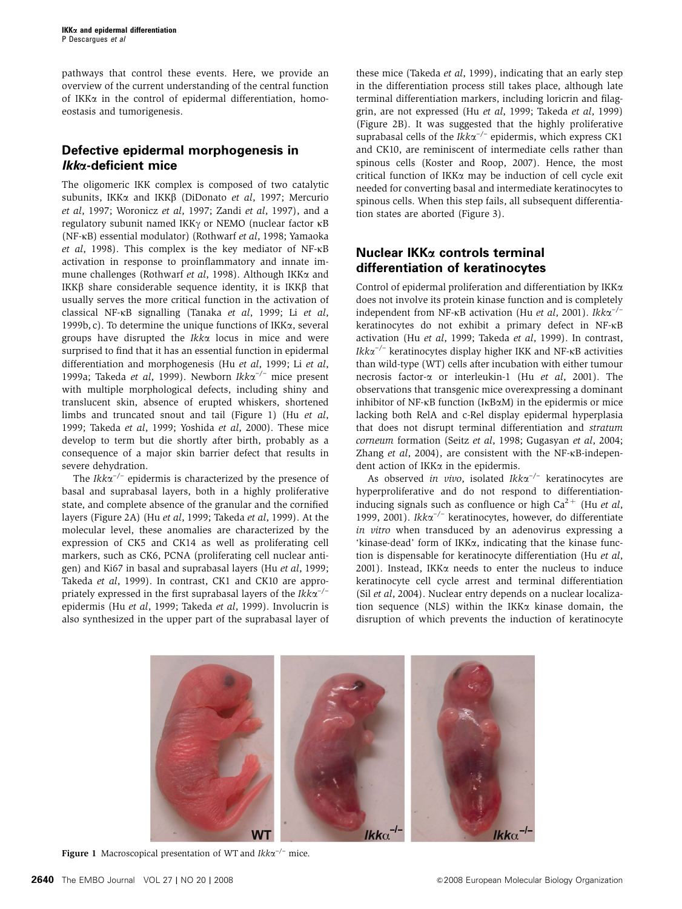pathways that control these events. Here, we provide an overview of the current understanding of the central function of IKK $\alpha$  in the control of epidermal differentiation, homoeostasis and tumorigenesis.

## **Defective epidermal morphogenesis in Ikk**a**-deficient mice**

The oligomeric IKK complex is composed of two catalytic subunits, IKK $\alpha$  and IKK $\beta$  ([DiDonato](#page-6-0) et al, 1997; [Mercurio](#page-7-0) et al[, 1997;](#page-7-0) [Woronicz](#page-8-0) et al, 1997; Zandi et al[, 1997\)](#page-8-0), and a regulatory subunit named IKK $\gamma$  or NEMO (nuclear factor  $\kappa$ B (NF-kB) essential modulator) [\(Rothwarf](#page-7-0) et al, 1998; [Yamaoka](#page-8-0) et al[, 1998](#page-8-0)). This complex is the key mediator of NF-kB activation in response to proinflammatory and innate im-mune challenges [\(Rothwarf](#page-7-0) et al, 1998). Although IKK $\alpha$  and IKK $\beta$  share considerable sequence identity, it is IKK $\beta$  that usually serves the more critical function in the activation of classical NF-kB signalling [\(Tanaka](#page-8-0) et al, 1999; Li [et al](#page-7-0), [1999b, c\)](#page-7-0). To determine the unique functions of IKK $\alpha$ , several groups have disrupted the  $Ikk\alpha$  locus in mice and were surprised to find that it has an essential function in epidermal differentiation and morphogenesis (Hu et al[, 1999](#page-7-0); Li [et al](#page-7-0), [1999a;](#page-7-0) [Takeda](#page-8-0) et al, 1999). Newborn Ikk $\alpha^{-/-}$  mice present with multiple morphological defects, including shiny and translucent skin, absence of erupted whiskers, shortened limbs and truncated snout and tail (Figure 1) (Hu [et al](#page-7-0), [1999](#page-7-0); [Takeda](#page-8-0) et al, 1999; [Yoshida](#page-8-0) et al, 2000). These mice develop to term but die shortly after birth, probably as a consequence of a major skin barrier defect that results in severe dehydration.

The  $Ikk\alpha^{-/-}$  epidermis is characterized by the presence of basal and suprabasal layers, both in a highly proliferative state, and complete absence of the granular and the cornified layers [\(Figure 2A](#page-2-0)) (Hu et al[, 1999;](#page-7-0) [Takeda](#page-8-0) et al, 1999). At the molecular level, these anomalies are characterized by the expression of CK5 and CK14 as well as proliferating cell markers, such as CK6, PCNA (proliferating cell nuclear antigen) and Ki67 in basal and suprabasal layers (Hu et al[, 1999;](#page-7-0) [Takeda](#page-8-0) et al, 1999). In contrast, CK1 and CK10 are appropriately expressed in the first suprabasal layers of the  $Ikk\alpha^{-/-}$ epidermis (Hu et al[, 1999](#page-7-0); [Takeda](#page-8-0) et al, 1999). Involucrin is also synthesized in the upper part of the suprabasal layer of

these mice [\(Takeda](#page-8-0) *et al*, 1999), indicating that an early step in the differentiation process still takes place, although late terminal differentiation markers, including loricrin and filaggrin, are not expressed (Hu et al[, 1999](#page-7-0); [Takeda](#page-8-0) et al, 1999) [\(Figure 2B\)](#page-2-0). It was suggested that the highly proliferative suprabasal cells of the  $Ikk\alpha^{-/-}$  epidermis, which express CK1 and CK10, are reminiscent of intermediate cells rather than spinous cells ([Koster and Roop, 2007\)](#page-7-0). Hence, the most critical function of IKKa may be induction of cell cycle exit needed for converting basal and intermediate keratinocytes to spinous cells. When this step fails, all subsequent differentiation states are aborted [\(Figure 3\)](#page-2-0).

## **Nuclear IKK**a **controls terminal differentiation of keratinocytes**

Control of epidermal proliferation and differentiation by IKKa does not involve its protein kinase function and is completely independent from NF- $\kappa$ B activation (Hu *et al*[, 2001](#page-7-0)). Ikk $\alpha^{-/-}$ keratinocytes do not exhibit a primary defect in NF-kB activation (Hu et al[, 1999](#page-7-0); [Takeda](#page-8-0) et al, 1999). In contrast, Ikk $\alpha^{-/-}$  keratinocytes display higher IKK and NF- $\kappa$ B activities than wild-type (WT) cells after incubation with either tumour necrosis factor- $\alpha$  or interleukin-1 (Hu et al[, 2001\)](#page-7-0). The observations that transgenic mice overexpressing a dominant inhibitor of NF- $\kappa$ B function (I $\kappa$ B $\alpha$ M) in the epidermis or mice lacking both RelA and c-Rel display epidermal hyperplasia that does not disrupt terminal differentiation and stratum corneum formation (Seitz et al[, 1998](#page-7-0); [Gugasyan](#page-6-0) et al, 2004; Zhang et al[, 2004\)](#page-8-0), are consistent with the NF-<sub>KB</sub>-independent action of IKKa in the epidermis.

As observed in vivo, isolated  $Ikk\alpha^{-/-}$  keratinocytes are hyperproliferative and do not respond to differentiationinducing signals such as confluence or high  $Ca^{2+}$  (Hu *[et al](#page-7-0)*, [1999, 2001\)](#page-7-0). Ikk $\alpha^{-/-}$  keratinocytes, however, do differentiate in vitro when transduced by an adenovirus expressing a 'kinase-dead' form of IKK $\alpha$ , indicating that the kinase function is dispensable for keratinocyte differentiation (Hu [et al](#page-7-0), [2001\)](#page-7-0). Instead, IKK $\alpha$  needs to enter the nucleus to induce keratinocyte cell cycle arrest and terminal differentiation (Sil et al[, 2004\)](#page-7-0). Nuclear entry depends on a nuclear localization sequence (NLS) within the IKK $\alpha$  kinase domain, the disruption of which prevents the induction of keratinocyte



**Figure 1** Macroscopical presentation of WT and  $Ikk\alpha^{-/-}$  mice.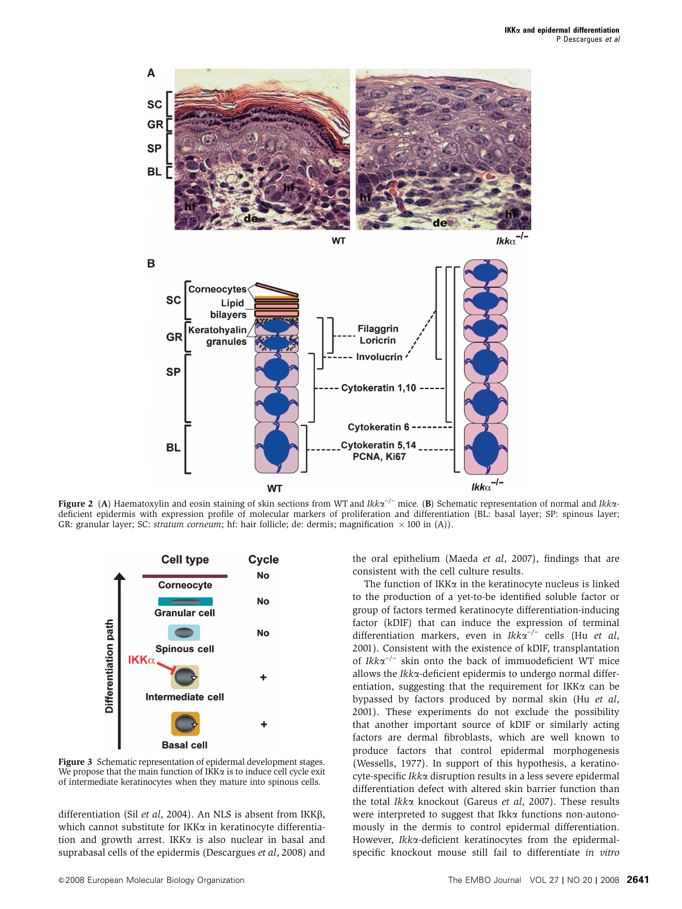<span id="page-2-0"></span>



**Figure 2** (A) Haematoxylin and eosin staining of skin sections from WT and Ikk $\alpha^{-/-}$  mice. (B) Schematic representation of normal and Ikk $\alpha$ deficient epidermis with expression profile of molecular markers of proliferation and differentiation (BL: basal layer; SP: spinous layer; GR: granular layer; SC: *stratum corneum*; hf: hair follicle; de: dermis; magnification  $\times$  100 in (A)).



Figure 3 Schematic representation of epidermal development stages. We propose that the main function of  $IKK\alpha$  is to induce cell cycle exit of intermediate keratinocytes when they mature into spinous cells.

differentiation (Sil et al[, 2004\)](#page-7-0). An NLS is absent from IKK $\beta$ , which cannot substitute for IKKα in keratinocyte differentiation and growth arrest. IKK $\alpha$  is also nuclear in basal and suprabasal cells of the epidermis [\(Descargues](#page-6-0) et al, 2008) and

the oral epithelium [\(Maeda](#page-7-0) et al, 2007), findings that are consistent with the cell culture results.

The function of IKK $\alpha$  in the keratinocyte nucleus is linked to the production of a yet-to-be identified soluble factor or group of factors termed keratinocyte differentiation-inducing factor (kDIF) that can induce the expression of terminal differentiation markers, even in  $Ikk\alpha^{-/-}$  cells (Hu [et al](#page-7-0), [2001\)](#page-7-0). Consistent with the existence of kDIF, transplantation of  $Ikk\alpha^{-/-}$  skin onto the back of immuodeficient WT mice allows the Ikka-deficient epidermis to undergo normal differentiation, suggesting that the requirement for IKK $\alpha$  can be bypassed by factors produced by normal skin (Hu [et al](#page-7-0), [2001\)](#page-7-0). These experiments do not exclude the possibility that another important source of kDIF or similarly acting factors are dermal fibroblasts, which are well known to produce factors that control epidermal morphogenesis [\(Wessells, 1977](#page-8-0)). In support of this hypothesis, a keratinocyte-specific Ikka disruption results in a less severe epidermal differentiation defect with altered skin barrier function than the total Ikka knockout [\(Gareus](#page-6-0) et al, 2007). These results were interpreted to suggest that Ikka functions non-autonomously in the dermis to control epidermal differentiation. However, Ikka-deficient keratinocytes from the epidermalspecific knockout mouse still fail to differentiate in vitro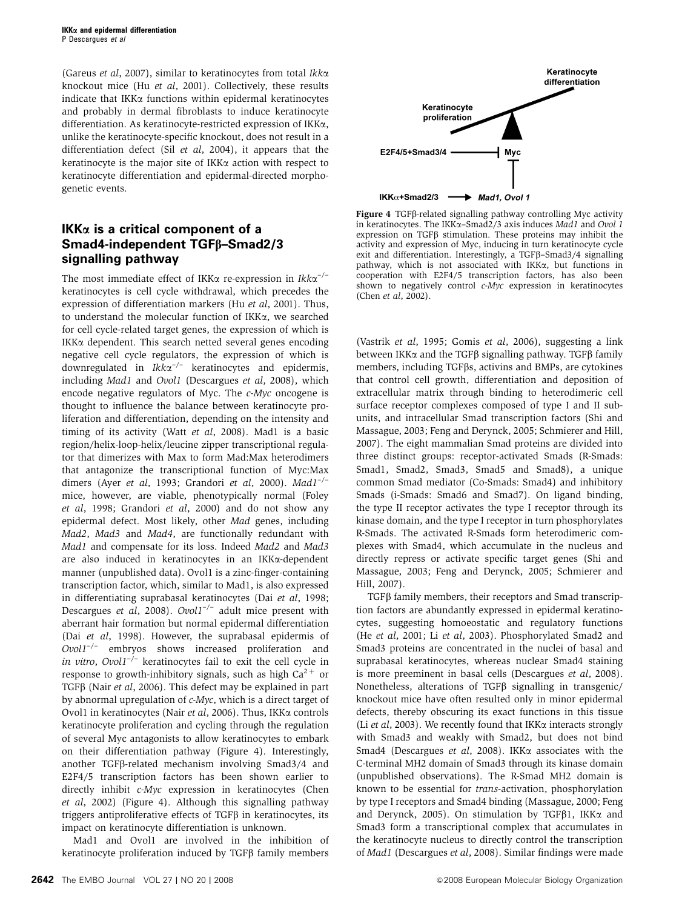[\(Gareus](#page-6-0) et al, 2007), similar to keratinocytes from total Ikk $\alpha$ knockout mice (Hu et al[, 2001](#page-7-0)). Collectively, these results indicate that IKK $\alpha$  functions within epidermal keratinocytes and probably in dermal fibroblasts to induce keratinocyte differentiation. As keratinocyte-restricted expression of IKKa, unlike the keratinocyte-specific knockout, does not result in a differentiation defect (Sil et al[, 2004](#page-7-0)), it appears that the keratinocyte is the major site of  $IKK\alpha$  action with respect to keratinocyte differentiation and epidermal-directed morphogenetic events.

## **IKK**a **is a critical component of a Smad4-independent TGF**b**–Smad2/3 signalling pathway**

The most immediate effect of IKK $\alpha$  re-expression in Ikk $\alpha^{-/-}$ keratinocytes is cell cycle withdrawal, which precedes the expression of differentiation markers (Hu et al[, 2001\)](#page-7-0). Thus, to understand the molecular function of IKKa, we searched for cell cycle-related target genes, the expression of which is IKK $\alpha$  dependent. This search netted several genes encoding negative cell cycle regulators, the expression of which is downregulated in  $Ikk\alpha^{-/-}$  keratinocytes and epidermis, including Mad1 and Ovol1 [\(Descargues](#page-6-0) et al, 2008), which encode negative regulators of Myc. The c-Myc oncogene is thought to influence the balance between keratinocyte proliferation and differentiation, depending on the intensity and timing of its activity (Watt et al[, 2008](#page-8-0)). Mad1 is a basic region/helix-loop-helix/leucine zipper transcriptional regulator that dimerizes with Max to form Mad:Max heterodimers that antagonize the transcriptional function of Myc:Max dimers (Ayer et al[, 1993; Grandori](#page-6-0) et al, 2000).  $Mad1^{-/-}$ mice, however, are viable, phenotypically normal [\(Foley](#page-6-0) et al[, 1998](#page-6-0); [Grandori](#page-6-0) et al, 2000) and do not show any epidermal defect. Most likely, other Mad genes, including Mad2, Mad3 and Mad4, are functionally redundant with Mad1 and compensate for its loss. Indeed Mad2 and Mad3 are also induced in keratinocytes in an IKKa-dependent manner (unpublished data). Ovol1 is a zinc-finger-containing transcription factor, which, similar to Mad1, is also expressed in differentiating suprabasal keratinocytes (Dai et al[, 1998;](#page-6-0) [Descargues](#page-6-0) et al, 2008). Ovol1<sup>-/-</sup> adult mice present with aberrant hair formation but normal epidermal differentiation (Dai et al[, 1998\)](#page-6-0). However, the suprabasal epidermis of  $Ovol1^{-/-}$  embryos shows increased proliferation and in vitro,  $Ovol1^{-/-}$  keratinocytes fail to exit the cell cycle in response to growth-inhibitory signals, such as high  $Ca^{2+}$  or TGF $\beta$  (Nair *et al*[, 2006](#page-7-0)). This defect may be explained in part by abnormal upregulation of c-Myc, which is a direct target of Ovol1 in keratinocytes (Nair et al[, 2006](#page-7-0)). Thus, IKK $\alpha$  controls keratinocyte proliferation and cycling through the regulation of several Myc antagonists to allow keratinocytes to embark on their differentiation pathway (Figure 4). Interestingly, another TGFb-related mechanism involving Smad3/4 and E2F4/5 transcription factors has been shown earlier to directly inhibit c-Myc expression in keratinocytes [\(Chen](#page-6-0) et al[, 2002](#page-6-0)) (Figure 4). Although this signalling pathway triggers antiproliferative effects of TGFb in keratinocytes, its impact on keratinocyte differentiation is unknown.

Mad1 and Ovol1 are involved in the inhibition of keratinocyte proliferation induced by  $TGF\beta$  family members



Figure 4 TGFß-related signalling pathway controlling Myc activity in keratinocytes. The IKK<sub>a</sub>-Smad2/3 axis induces Mad1 and Ovol 1 expression on  $TGF\beta$  stimulation. These proteins may inhibit the activity and expression of Myc, inducing in turn keratinocyte cycle exit and differentiation. Interestingly, a TGF $\beta$ –Smad3/4 signalling pathway, which is not associated with IKKa, but functions in cooperation with E2F4/5 transcription factors, has also been shown to negatively control c-Myc expression in keratinocytes (Chen et al[, 2002](#page-6-0)).

[\(Vastrik](#page-8-0) et al, 1995; Gomis et al[, 2006\)](#page-6-0), suggesting a link between IKK $\alpha$  and the TGF $\beta$  signalling pathway. TGF $\beta$  family members, including TGFbs, activins and BMPs, are cytokines that control cell growth, differentiation and deposition of extracellular matrix through binding to heterodimeric cell surface receptor complexes composed of type I and II subunits, and intracellular Smad transcription factors [\(Shi and](#page-7-0) [Massague, 2003](#page-7-0); [Feng and Derynck, 2005;](#page-6-0) [Schmierer and Hill,](#page-7-0) [2007](#page-7-0)). The eight mammalian Smad proteins are divided into three distinct groups: receptor-activated Smads (R-Smads: Smad1, Smad2, Smad3, Smad5 and Smad8), a unique common Smad mediator (Co-Smads: Smad4) and inhibitory Smads (i-Smads: Smad6 and Smad7). On ligand binding, the type II receptor activates the type I receptor through its kinase domain, and the type I receptor in turn phosphorylates R-Smads. The activated R-Smads form heterodimeric complexes with Smad4, which accumulate in the nucleus and directly repress or activate specific target genes [\(Shi and](#page-7-0) [Massague, 2003;](#page-7-0) [Feng and Derynck, 2005;](#page-6-0) [Schmierer and](#page-7-0) [Hill, 2007](#page-7-0)).

TGF<sub>B</sub> family members, their receptors and Smad transcription factors are abundantly expressed in epidermal keratinocytes, suggesting homoeostatic and regulatory functions (He et al[, 2001;](#page-7-0) Li et al[, 2003](#page-7-0)). Phosphorylated Smad2 and Smad3 proteins are concentrated in the nuclei of basal and suprabasal keratinocytes, whereas nuclear Smad4 staining is more preeminent in basal cells ([Descargues](#page-6-0) et al, 2008). Nonetheless, alterations of TGF<sub>β</sub> signalling in transgenic/ knockout mice have often resulted only in minor epidermal defects, thereby obscuring its exact functions in this tissue (Li et al[, 2003\)](#page-7-0). We recently found that IKK $\alpha$  interacts strongly with Smad3 and weakly with Smad2, but does not bind Smad4 ([Descargues](#page-6-0) et al, 2008). IKK $\alpha$  associates with the C-terminal MH2 domain of Smad3 through its kinase domain (unpublished observations). The R-Smad MH2 domain is known to be essential for trans-activation, phosphorylation by type I receptors and Smad4 binding ([Massague, 2000;](#page-7-0) [Feng](#page-6-0) [and Derynck, 2005\)](#page-6-0). On stimulation by TGF $\beta$ 1, IKK $\alpha$  and Smad3 form a transcriptional complex that accumulates in the keratinocyte nucleus to directly control the transcription of Mad1 [\(Descargues](#page-6-0) et al, 2008). Similar findings were made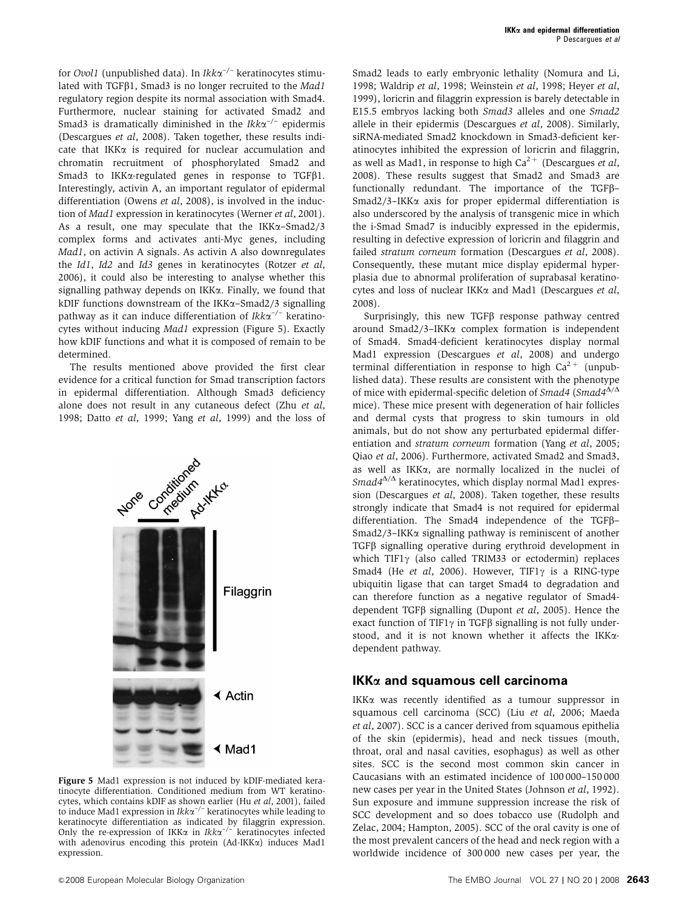for *Ovol1* (unpublished data). In  $Ikk\alpha^{-/-}$  keratinocytes stimulated with TGFB1, Smad3 is no longer recruited to the Mad1 regulatory region despite its normal association with Smad4. Furthermore, nuclear staining for activated Smad2 and Smad3 is dramatically diminished in the  $Ikk\alpha^{-/-}$  epidermis [\(Descargues](#page-6-0) et al, 2008). Taken together, these results indicate that IKKa is required for nuclear accumulation and chromatin recruitment of phosphorylated Smad2 and Smad3 to IKK $\alpha$ -regulated genes in response to TGF $\beta$ 1. Interestingly, activin A, an important regulator of epidermal differentiation [\(Owens](#page-7-0) et al, 2008), is involved in the induc-tion of Mad1 expression in keratinocytes [\(Werner](#page-8-0) et al, 2001). As a result, one may speculate that the IKK $\alpha$ –Smad2/3 complex forms and activates anti-Myc genes, including Mad1, on activin A signals. As activin A also downregulates the Id1, Id2 and Id3 genes in keratinocytes [\(Rotzer](#page-7-0) et al, [2006](#page-7-0)), it could also be interesting to analyse whether this signalling pathway depends on IKKa. Finally, we found that kDIF functions downstream of the IKKa–Smad2/3 signalling pathway as it can induce differentiation of  $Ikk\alpha^{-/-}$  keratinocytes without inducing Mad1 expression (Figure 5). Exactly how kDIF functions and what it is composed of remain to be determined.

The results mentioned above provided the first clear evidence for a critical function for Smad transcription factors in epidermal differentiation. Although Smad3 deficiency alone does not result in any cutaneous defect (Zhu [et al](#page-8-0), [1998](#page-8-0); Datto et al[, 1999;](#page-6-0) Yang et al[, 1999\)](#page-8-0) and the loss of



Figure 5 Mad1 expression is not induced by kDIF-mediated keratinocyte differentiation. Conditioned medium from WT keratinocytes, which contains kDIF as shown earlier (Hu *et al*[, 2001](#page-7-0)), failed<br>to induce Mad1 expression in Ikkα<sup>-/–</sup> keratinocytes while leading to keratinocyte differentiation as indicated by filaggrin expression. Only the re-expression of IKK $\alpha$  in Ikk $\alpha^{-/-}$  keratinocytes infected with adenovirus encoding this protein (Ad-IKK $\alpha$ ) induces Mad1 expression.

Smad2 leads to early embryonic lethality [\(Nomura and Li,](#page-7-0) [1998](#page-7-0); [Waldrip](#page-8-0) et al, 1998; [Weinstein](#page-8-0) et al, 1998; [Heyer](#page-7-0) et al, [1999](#page-7-0)), loricrin and filaggrin expression is barely detectable in E15.5 embryos lacking both Smad3 alleles and one Smad2 allele in their epidermis ([Descargues](#page-6-0) et al, 2008). Similarly, siRNA-mediated Smad2 knockdown in Smad3-deficient keratinocytes inhibited the expression of loricrin and filaggrin, as well as Mad1, in response to high  $Ca^{2+}$  ([Descargues](#page-6-0) *et al*, [2008](#page-6-0)). These results suggest that Smad2 and Smad3 are functionally redundant. The importance of the TGFb– Smad2/3–IKKa axis for proper epidermal differentiation is also underscored by the analysis of transgenic mice in which the i-Smad Smad7 is inducibly expressed in the epidermis, resulting in defective expression of loricrin and filaggrin and failed stratum corneum formation ([Descargues](#page-6-0) et al, 2008). Consequently, these mutant mice display epidermal hyperplasia due to abnormal proliferation of suprabasal keratinocytes and loss of nuclear IKKa and Mad1 [\(Descargues](#page-6-0) et al, [2008](#page-6-0)).

Surprisingly, this new TGF $\beta$  response pathway centred around Smad2/3–IKKa complex formation is independent of Smad4. Smad4-deficient keratinocytes display normal Mad1 expression [\(Descargues](#page-6-0) et al, 2008) and undergo terminal differentiation in response to high  $Ca^{2+}$  (unpublished data). These results are consistent with the phenotype of mice with epidermal-specific deletion of Smad4 (Smad4 $\overline{\Delta}/\Delta$ mice). These mice present with degeneration of hair follicles and dermal cysts that progress to skin tumours in old animals, but do not show any perturbated epidermal differentiation and stratum corneum formation (Yang et al[, 2005;](#page-8-0) Qiao et al[, 2006\)](#page-7-0). Furthermore, activated Smad2 and Smad3, as well as IKKa, are normally localized in the nuclei of  $Smad4^{\Delta/\Delta}$  keratinocytes, which display normal Mad1 expression [\(Descargues](#page-6-0) et al, 2008). Taken together, these results strongly indicate that Smad4 is not required for epidermal differentiation. The Smad4 independence of the TGFb– Smad2/3–IKKa signalling pathway is reminiscent of another TGFb signalling operative during erythroid development in which TIF1 $\gamma$  (also called TRIM33 or ectodermin) replaces Smad4 (He et al[, 2006](#page-7-0)). However, TIF1 $\gamma$  is a RING-type ubiquitin ligase that can target Smad4 to degradation and can therefore function as a negative regulator of Smad4 dependent TGF $\beta$  signalling [\(Dupont](#page-6-0) et al, 2005). Hence the exact function of TIF1 $\gamma$  in TGF $\beta$  signalling is not fully understood, and it is not known whether it affects the IKKadependent pathway.

### **IKK**a **and squamous cell carcinoma**

IKKa was recently identified as a tumour suppressor in squamous cell carcinoma (SCC) (Liu et al[, 2006](#page-7-0); [Maeda](#page-7-0) et al[, 2007](#page-7-0)). SCC is a cancer derived from squamous epithelia of the skin (epidermis), head and neck tissues (mouth, throat, oral and nasal cavities, esophagus) as well as other sites. SCC is the second most common skin cancer in Caucasians with an estimated incidence of 100 000–150 000 new cases per year in the United States ([Johnson](#page-7-0) et al, 1992). Sun exposure and immune suppression increase the risk of SCC development and so does tobacco use [\(Rudolph and](#page-7-0) [Zelac, 2004](#page-7-0); [Hampton, 2005](#page-6-0)). SCC of the oral cavity is one of the most prevalent cancers of the head and neck region with a worldwide incidence of 300 000 new cases per year, the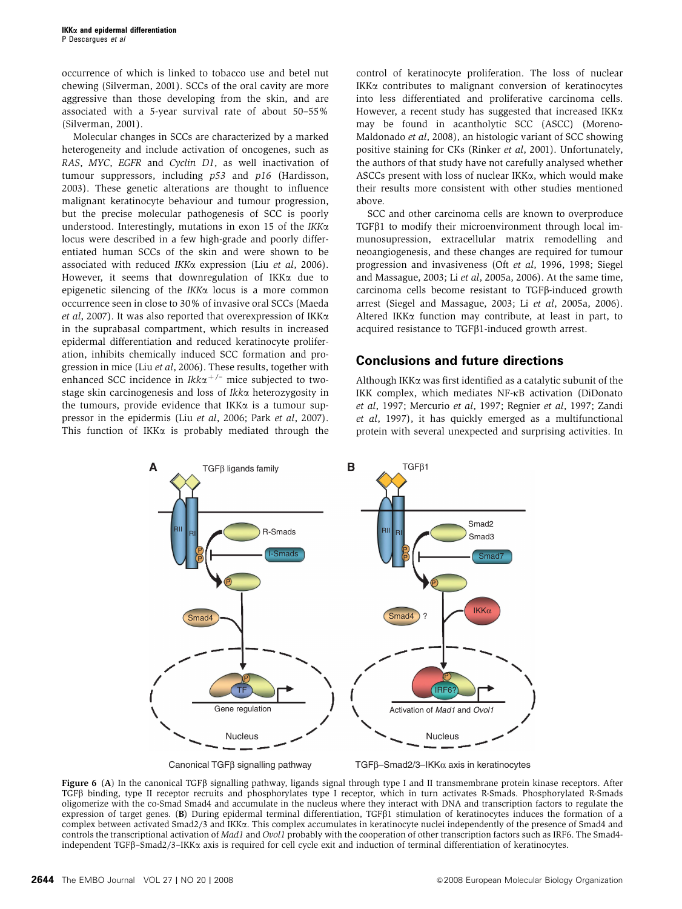<span id="page-5-0"></span>occurrence of which is linked to tobacco use and betel nut chewing [\(Silverman, 2001\)](#page-7-0). SCCs of the oral cavity are more aggressive than those developing from the skin, and are associated with a 5-year survival rate of about 50–55% [\(Silverman, 2001](#page-7-0)).

Molecular changes in SCCs are characterized by a marked heterogeneity and include activation of oncogenes, such as RAS, MYC, EGFR and Cyclin D1, as well inactivation of tumour suppressors, including p53 and p16 [\(Hardisson,](#page-7-0) [2003](#page-7-0)). These genetic alterations are thought to influence malignant keratinocyte behaviour and tumour progression, but the precise molecular pathogenesis of SCC is poorly understood. Interestingly, mutations in exon 15 of the  $IKK\alpha$ locus were described in a few high-grade and poorly differentiated human SCCs of the skin and were shown to be associated with reduced IKKa expression (Liu et al[, 2006](#page-7-0)). However, it seems that downregulation of IKKa due to epigenetic silencing of the  $IKK\alpha$  locus is a more common occurrence seen in close to 30% of invasive oral SCCs ([Maeda](#page-7-0) et al[, 2007\)](#page-7-0). It was also reported that overexpression of IKK $\alpha$ in the suprabasal compartment, which results in increased epidermal differentiation and reduced keratinocyte proliferation, inhibits chemically induced SCC formation and progression in mice (Liu et al[, 2006](#page-7-0)). These results, together with enhanced SCC incidence in  $Ikk\alpha^{+/-}$  mice subjected to twostage skin carcinogenesis and loss of Ikka heterozygosity in the tumours, provide evidence that IKK $\alpha$  is a tumour suppressor in the epidermis (Liu et al[, 2006;](#page-7-0) Park et al[, 2007](#page-7-0)). This function of IKK $\alpha$  is probably mediated through the

control of keratinocyte proliferation. The loss of nuclear IKKa contributes to malignant conversion of keratinocytes into less differentiated and proliferative carcinoma cells. However, a recent study has suggested that increased IKK $\alpha$ may be found in acantholytic SCC (ASCC) ([Moreno-](#page-7-0)[Maldonado](#page-7-0) et al, 2008), an histologic variant of SCC showing positive staining for CKs [\(Rinker](#page-7-0) et al, 2001). Unfortunately, the authors of that study have not carefully analysed whether ASCCs present with loss of nuclear IKK $\alpha$ , which would make their results more consistent with other studies mentioned above.

SCC and other carcinoma cells are known to overproduce  $TGF\beta1$  to modify their microenvironment through local immunosupression, extracellular matrix remodelling and neoangiogenesis, and these changes are required for tumour progression and invasiveness (Oft et al[, 1996, 1998; Siegel](#page-7-0) [and Massague, 2003;](#page-7-0) Li et al[, 2005a, 2006](#page-7-0)). At the same time, carcinoma cells become resistant to TGFb-induced growth arrest [\(Siegel and Massague, 2003;](#page-7-0) Li et al[, 2005a, 2006](#page-7-0)). Altered IKK $\alpha$  function may contribute, at least in part, to acquired resistance to  $TGF\beta1$ -induced growth arrest.

#### **Conclusions and future directions**

Although IKKa was first identified as a catalytic subunit of the IKK complex, which mediates NF-kB activation ([DiDonato](#page-6-0) et al[, 1997](#page-6-0); [Mercurio](#page-7-0) et al, 1997; [Regnier](#page-7-0) et al, 1997; [Zandi](#page-8-0) et al[, 1997](#page-8-0)), it has quickly emerged as a multifunctional protein with several unexpected and surprising activities. In



Figure 6 (A) In the canonical TGF $\beta$  signalling pathway, ligands signal through type I and II transmembrane protein kinase receptors. After TGFb binding, type II receptor recruits and phosphorylates type I receptor, which in turn activates R-Smads. Phosphorylated R-Smads oligomerize with the co-Smad Smad4 and accumulate in the nucleus where they interact with DNA and transcription factors to regulate the expression of target genes. (B) During epidermal terminal differentiation, TGF $\beta$ 1 stimulation of keratinocytes induces the formation of a complex between activated Smad2/3 and IKKa. This complex accumulates in keratinocyte nuclei independently of the presence of Smad4 and controls the transcriptional activation of Mad1 and Ovol1 probably with the cooperation of other transcription factors such as IRF6. The Smad4independent TGFb–Smad2/3–IKKa axis is required for cell cycle exit and induction of terminal differentiation of keratinocytes.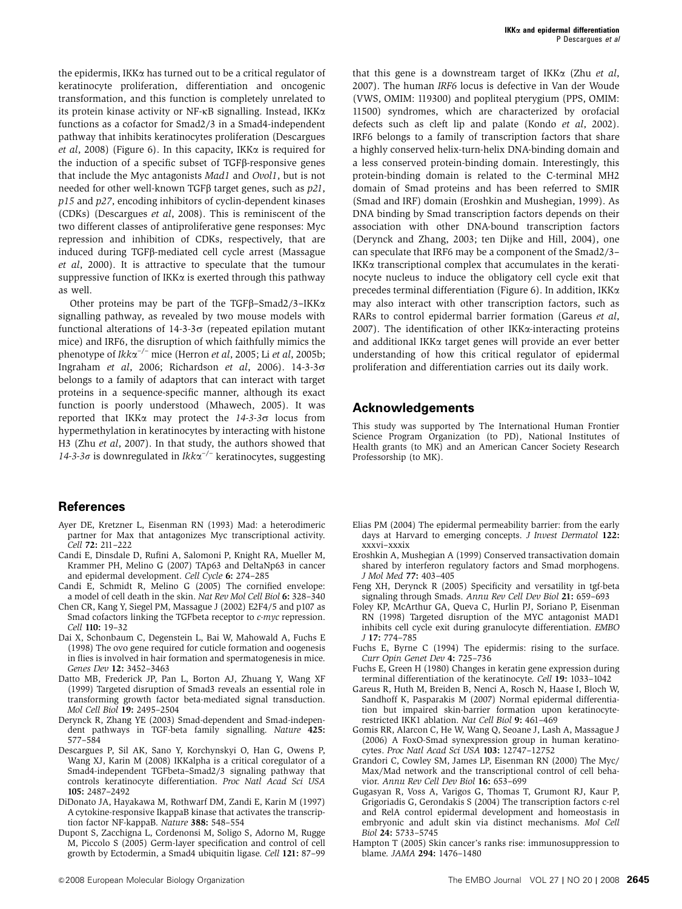<span id="page-6-0"></span>the epidermis, IKKa has turned out to be a critical regulator of keratinocyte proliferation, differentiation and oncogenic transformation, and this function is completely unrelated to its protein kinase activity or NF-kB signalling. Instead, IKKa functions as a cofactor for Smad2/3 in a Smad4-independent pathway that inhibits keratinocytes proliferation (Descargues et al, 2008) ([Figure 6](#page-5-0)). In this capacity, IKK $\alpha$  is required for the induction of a specific subset of  $TGF\beta$ -responsive genes that include the Myc antagonists Mad1 and Ovol1, but is not needed for other well-known TGF $\beta$  target genes, such as  $p21$ , p15 and p27, encoding inhibitors of cyclin-dependent kinases (CDKs) (Descargues et al, 2008). This is reminiscent of the two different classes of antiproliferative gene responses: Myc repression and inhibition of CDKs, respectively, that are induced during TGFb-mediated cell cycle arrest ([Massague](#page-7-0) et al[, 2000](#page-7-0)). It is attractive to speculate that the tumour suppressive function of  $IKK\alpha$  is exerted through this pathway as well.

Other proteins may be part of the TGF $\beta$ –Smad2/3–IKK $\alpha$ signalling pathway, as revealed by two mouse models with functional alterations of  $14-3-3\sigma$  (repeated epilation mutant mice) and IRF6, the disruption of which faithfully mimics the phenotype of  $Ikk\alpha^{-/-}$  mice ([Herron](#page-7-0) *et al*, 2005; Li *et al*[, 2005b;](#page-7-0) [Ingraham](#page-7-0) et al, 2006; [Richardson](#page-7-0) et al, 2006).  $14-3-3\sigma$ belongs to a family of adaptors that can interact with target proteins in a sequence-specific manner, although its exact function is poorly understood ([Mhawech, 2005](#page-7-0)). It was reported that IKK $\alpha$  may protect the  $14-3-3\sigma$  locus from hypermethylation in keratinocytes by interacting with histone H3 (Zhu et al[, 2007\)](#page-8-0). In that study, the authors showed that 14-3-3 $\sigma$  is downregulated in Ikk $\alpha^{-/-}$  keratinocytes, suggesting

#### **References**

- Ayer DE, Kretzner L, Eisenman RN (1993) Mad: a heterodimeric partner for Max that antagonizes Myc transcriptional activity. Cell 72: 211–222
- Candi E, Dinsdale D, Rufini A, Salomoni P, Knight RA, Mueller M, Krammer PH, Melino G (2007) TAp63 and DeltaNp63 in cancer and epidermal development. Cell Cycle 6: 274–285
- Candi E, Schmidt R, Melino G (2005) The cornified envelope: a model of cell death in the skin. Nat Rev Mol Cell Biol 6: 328–340
- Chen CR, Kang Y, Siegel PM, Massague J (2002) E2F4/5 and p107 as Smad cofactors linking the TGFbeta receptor to *c-myc* repression. Cell 110: 19–32
- Dai X, Schonbaum C, Degenstein L, Bai W, Mahowald A, Fuchs E (1998) The ovo gene required for cuticle formation and oogenesis in flies is involved in hair formation and spermatogenesis in mice. Genes Dev 12: 3452–3463
- Datto MB, Frederick JP, Pan L, Borton AJ, Zhuang Y, Wang XF (1999) Targeted disruption of Smad3 reveals an essential role in transforming growth factor beta-mediated signal transduction. Mol Cell Biol 19: 2495–2504
- Derynck R, Zhang YE (2003) Smad-dependent and Smad-independent pathways in TGF-beta family signalling. Nature 425: 577–584
- Descargues P, Sil AK, Sano Y, Korchynskyi O, Han G, Owens P, Wang XJ, Karin M (2008) IKKalpha is a critical coregulator of a Smad4-independent TGFbeta–Smad2/3 signaling pathway that controls keratinocyte differentiation. Proc Natl Acad Sci USA 105: 2487–2492
- DiDonato JA, Hayakawa M, Rothwarf DM, Zandi E, Karin M (1997) A cytokine-responsive IkappaB kinase that activates the transcription factor NF-kappaB. Nature 388: 548-554
- Dupont S, Zacchigna L, Cordenonsi M, Soligo S, Adorno M, Rugge M, Piccolo S (2005) Germ-layer specification and control of cell growth by Ectodermin, a Smad4 ubiquitin ligase. Cell 121: 87–99

that this gene is a downstream target of IKK $\alpha$  (Zhu *[et al](#page-8-0)*, [2007](#page-8-0)). The human IRF6 locus is defective in Van der Woude (VWS, OMIM: 119300) and popliteal pterygium (PPS, OMIM: 11500) syndromes, which are characterized by orofacial defects such as cleft lip and palate (Kondo et al[, 2002](#page-7-0)). IRF6 belongs to a family of transcription factors that share a highly conserved helix-turn-helix DNA-binding domain and a less conserved protein-binding domain. Interestingly, this protein-binding domain is related to the C-terminal MH2 domain of Smad proteins and has been referred to SMIR (Smad and IRF) domain (Eroshkin and Mushegian, 1999). As DNA binding by Smad transcription factors depends on their association with other DNA-bound transcription factors (Derynck and Zhang, 2003; [ten Dijke and Hill, 2004](#page-8-0)), one can speculate that IRF6 may be a component of the Smad2/3–  $IKK\alpha$  transcriptional complex that accumulates in the keratinocyte nucleus to induce the obligatory cell cycle exit that precedes terminal differentiation [\(Figure 6](#page-5-0)). In addition, IKKa may also interact with other transcription factors, such as RARs to control epidermal barrier formation (Gareus et al, 2007). The identification of other IKK $\alpha$ -interacting proteins and additional IKKa target genes will provide an ever better understanding of how this critical regulator of epidermal proliferation and differentiation carries out its daily work.

#### **Acknowledgements**

This study was supported by The International Human Frontier Science Program Organization (to PD), National Institutes of Health grants (to MK) and an American Cancer Society Research Professorship (to MK).

- Elias PM (2004) The epidermal permeability barrier: from the early days at Harvard to emerging concepts. J Invest Dermatol 122: xxxvi–xxxix
- Eroshkin A, Mushegian A (1999) Conserved transactivation domain shared by interferon regulatory factors and Smad morphogens. J Mol Med 77: 403–405
- Feng XH, Derynck R (2005) Specificity and versatility in tgf-beta signaling through Smads. Annu Rev Cell Dev Biol 21: 659–693
- Foley KP, McArthur GA, Queva C, Hurlin PJ, Soriano P, Eisenman RN (1998) Targeted disruption of the MYC antagonist MAD1 inhibits cell cycle exit during granulocyte differentiation. EMBO J 17: 774–785
- Fuchs E, Byrne C (1994) The epidermis: rising to the surface. Curr Opin Genet Dev 4: 725–736
- Fuchs E, Green H (1980) Changes in keratin gene expression during terminal differentiation of the keratinocyte. Cell 19: 1033–1042
- Gareus R, Huth M, Breiden B, Nenci A, Rosch N, Haase I, Bloch W, Sandhoff K, Pasparakis M (2007) Normal epidermal differentiation but impaired skin-barrier formation upon keratinocyterestricted IKK1 ablation. Nat Cell Biol 9: 461–469
- Gomis RR, Alarcon C, He W, Wang Q, Seoane J, Lash A, Massague J (2006) A FoxO-Smad synexpression group in human keratinocytes. Proc Natl Acad Sci USA 103: 12747–12752
- Grandori C, Cowley SM, James LP, Eisenman RN (2000) The Myc/ Max/Mad network and the transcriptional control of cell behavior. Annu Rev Cell Dev Biol 16: 653–699
- Gugasyan R, Voss A, Varigos G, Thomas T, Grumont RJ, Kaur P, Grigoriadis G, Gerondakis S (2004) The transcription factors c-rel and RelA control epidermal development and homeostasis in embryonic and adult skin via distinct mechanisms. Mol Cell Biol 24: 5733–5745
- Hampton T (2005) Skin cancer's ranks rise: immunosuppression to blame. JAMA 294: 1476–1480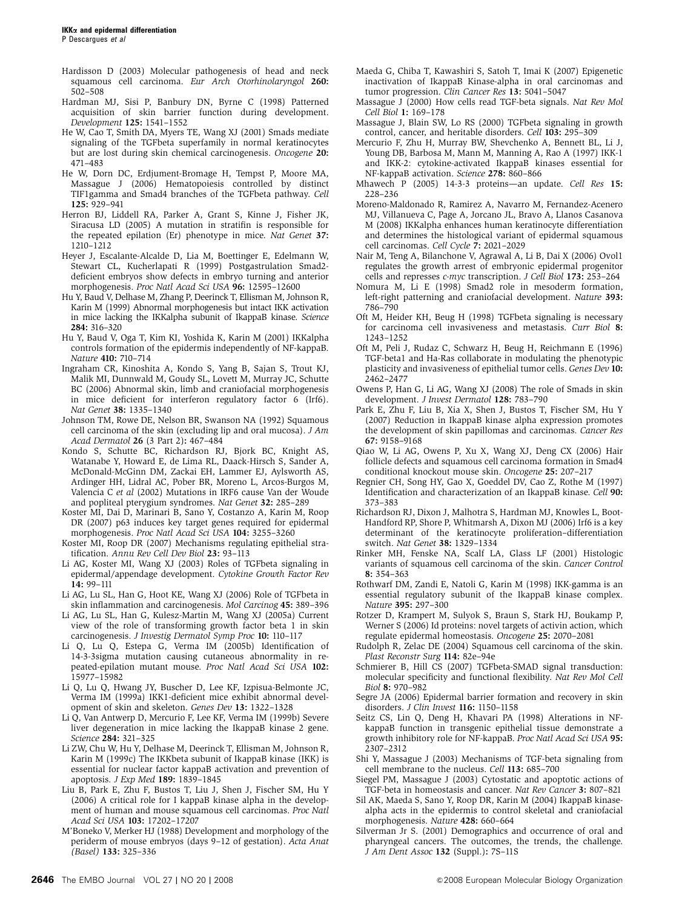<span id="page-7-0"></span>P Descargues et al

- Hardisson D (2003) Molecular pathogenesis of head and neck squamous cell carcinoma. Eur Arch Otorhinolaryngol 260: 502–508
- Hardman MJ, Sisi P, Banbury DN, Byrne C (1998) Patterned acquisition of skin barrier function during development. Development 125: 1541–1552
- He W, Cao T, Smith DA, Myers TE, Wang XJ (2001) Smads mediate signaling of the TGFbeta superfamily in normal keratinocytes but are lost during skin chemical carcinogenesis. Oncogene 20: 471–483
- He W, Dorn DC, Erdjument-Bromage H, Tempst P, Moore MA, Massague J (2006) Hematopoiesis controlled by distinct TIF1gamma and Smad4 branches of the TGFbeta pathway. Cell 125: 929–941
- Herron BJ, Liddell RA, Parker A, Grant S, Kinne J, Fisher JK, Siracusa LD (2005) A mutation in stratifin is responsible for the repeated epilation (Er) phenotype in mice. Nat Genet 37: 1210–1212
- Heyer J, Escalante-Alcalde D, Lia M, Boettinger E, Edelmann W, Stewart CL, Kucherlapati R (1999) Postgastrulation Smad2 deficient embryos show defects in embryo turning and anterior morphogenesis. Proc Natl Acad Sci USA 96: 12595–12600
- Hu Y, Baud V, Delhase M, Zhang P, Deerinck T, Ellisman M, Johnson R, Karin M (1999) Abnormal morphogenesis but intact IKK activation in mice lacking the IKKalpha subunit of IkappaB kinase. Science 284: 316–320
- Hu Y, Baud V, Oga T, Kim KI, Yoshida K, Karin M (2001) IKKalpha controls formation of the epidermis independently of NF-kappaB. Nature 410: 710–714
- Ingraham CR, Kinoshita A, Kondo S, Yang B, Sajan S, Trout KJ, Malik MI, Dunnwald M, Goudy SL, Lovett M, Murray JC, Schutte BC (2006) Abnormal skin, limb and craniofacial morphogenesis in mice deficient for interferon regulatory factor 6 (Irf6). Nat Genet 38: 1335–1340
- Johnson TM, Rowe DE, Nelson BR, Swanson NA (1992) Squamous cell carcinoma of the skin (excluding lip and oral mucosa). J Am Acad Dermatol 26 (3 Part 2): 467–484
- Kondo S, Schutte BC, Richardson RJ, Bjork BC, Knight AS, Watanabe Y, Howard E, de Lima RL, Daack-Hirsch S, Sander A, McDonald-McGinn DM, Zackai EH, Lammer EJ, Aylsworth AS, Ardinger HH, Lidral AC, Pober BR, Moreno L, Arcos-Burgos M, Valencia C et al (2002) Mutations in IRF6 cause Van der Woude and popliteal pterygium syndromes. Nat Genet 32: 285–289
- Koster MI, Dai D, Marinari B, Sano Y, Costanzo A, Karin M, Roop DR (2007) p63 induces key target genes required for epidermal morphogenesis. Proc Natl Acad Sci USA 104: 3255–3260
- Koster MI, Roop DR (2007) Mechanisms regulating epithelial stratification. Annu Rev Cell Dev Biol 23: 93–113
- Li AG, Koster MI, Wang XJ (2003) Roles of TGFbeta signaling in epidermal/appendage development. Cytokine Growth Factor Rev 14: 99–111
- Li AG, Lu SL, Han G, Hoot KE, Wang XJ (2006) Role of TGFbeta in skin inflammation and carcinogenesis. Mol Carcinog 45: 389–396
- Li AG, Lu SL, Han G, Kulesz-Martin M, Wang XJ (2005a) Current view of the role of transforming growth factor beta 1 in skin carcinogenesis. J Investig Dermatol Symp Proc 10: 110–117
- Li Q, Lu Q, Estepa G, Verma IM (2005b) Identification of 14-3-3sigma mutation causing cutaneous abnormality in repeated-epilation mutant mouse. Proc Natl Acad Sci USA 102: 15977–15982
- Li Q, Lu Q, Hwang JY, Buscher D, Lee KF, Izpisua-Belmonte JC, Verma IM (1999a) IKK1-deficient mice exhibit abnormal development of skin and skeleton. Genes Dev 13: 1322–1328
- Li Q, Van Antwerp D, Mercurio F, Lee KF, Verma IM (1999b) Severe liver degeneration in mice lacking the IkappaB kinase 2 gene. Science 284: 321–325
- Li ZW, Chu W, Hu Y, Delhase M, Deerinck T, Ellisman M, Johnson R, Karin M (1999c) The IKKbeta subunit of IkappaB kinase (IKK) is essential for nuclear factor kappaB activation and prevention of apoptosis. J Exp Med 189: 1839–1845
- Liu B, Park E, Zhu F, Bustos T, Liu J, Shen J, Fischer SM, Hu Y (2006) A critical role for I kappaB kinase alpha in the development of human and mouse squamous cell carcinomas. Proc Natl Acad Sci USA 103: 17202–17207
- M'Boneko V, Merker HJ (1988) Development and morphology of the periderm of mouse embryos (days 9–12 of gestation). Acta Anat (Basel) 133: 325–336
- Maeda G, Chiba T, Kawashiri S, Satoh T, Imai K (2007) Epigenetic inactivation of IkappaB Kinase-alpha in oral carcinomas and tumor progression. Clin Cancer Res 13: 5041–5047
- Massague J (2000) How cells read TGF-beta signals. Nat Rev Mol Cell Biol 1: 169–178
- Massague J, Blain SW, Lo RS (2000) TGFbeta signaling in growth control, cancer, and heritable disorders. Cell 103: 295–309
- Mercurio F, Zhu H, Murray BW, Shevchenko A, Bennett BL, Li J, Young DB, Barbosa M, Mann M, Manning A, Rao A (1997) IKK-1 and IKK-2: cytokine-activated IkappaB kinases essential for NF-kappaB activation. Science 278: 860–866
- Mhawech P (2005) 14-3-3 proteins—an update. Cell Res 15: 228–236
- Moreno-Maldonado R, Ramirez A, Navarro M, Fernandez-Acenero MJ, Villanueva C, Page A, Jorcano JL, Bravo A, Llanos Casanova M (2008) IKKalpha enhances human keratinocyte differentiation and determines the histological variant of epidermal squamous cell carcinomas. Cell Cycle 7: 2021–2029
- Nair M, Teng A, Bilanchone V, Agrawal A, Li B, Dai X (2006) Ovol1 regulates the growth arrest of embryonic epidermal progenitor cells and represses c-myc transcription. J Cell Biol 173: 253–264
- Nomura M, Li E (1998) Smad2 role in mesoderm formation, left-right patterning and craniofacial development. Nature 393: 786–790
- Oft M, Heider KH, Beug H (1998) TGFbeta signaling is necessary for carcinoma cell invasiveness and metastasis. Curr Biol 8: 1243–1252
- Oft M, Peli J, Rudaz C, Schwarz H, Beug H, Reichmann E (1996) TGF-beta1 and Ha-Ras collaborate in modulating the phenotypic plasticity and invasiveness of epithelial tumor cells. Genes Dev 10: 2462–2477
- Owens P, Han G, Li AG, Wang XJ (2008) The role of Smads in skin development. J Invest Dermatol 128: 783–790
- Park E, Zhu F, Liu B, Xia X, Shen J, Bustos T, Fischer SM, Hu Y (2007) Reduction in IkappaB kinase alpha expression promotes the development of skin papillomas and carcinomas. Cancer Res 67: 9158–9168
- Qiao W, Li AG, Owens P, Xu X, Wang XJ, Deng CX (2006) Hair follicle defects and squamous cell carcinoma formation in Smad4 conditional knockout mouse skin. Oncogene 25: 207–217
- Regnier CH, Song HY, Gao X, Goeddel DV, Cao Z, Rothe M (1997) Identification and characterization of an IkappaB kinase. Cell 90: 373–383
- Richardson RJ, Dixon J, Malhotra S, Hardman MJ, Knowles L, Boot-Handford RP, Shore P, Whitmarsh A, Dixon MJ (2006) Irf6 is a key determinant of the keratinocyte proliferation–differentiation switch. Nat Genet 38: 1329–1334
- Rinker MH, Fenske NA, Scalf LA, Glass LF (2001) Histologic variants of squamous cell carcinoma of the skin. Cancer Control 8: 354–363
- Rothwarf DM, Zandi E, Natoli G, Karin M (1998) IKK-gamma is an essential regulatory subunit of the IkappaB kinase complex. Nature 395: 297–300
- Rotzer D, Krampert M, Sulyok S, Braun S, Stark HJ, Boukamp P, Werner S (2006) Id proteins: novel targets of activin action, which regulate epidermal homeostasis. Oncogene 25: 2070–2081
- Rudolph R, Zelac DE (2004) Squamous cell carcinoma of the skin. Plast Reconstr Surg 114: 82e–94e
- Schmierer B, Hill CS (2007) TGFbeta-SMAD signal transduction: molecular specificity and functional flexibility. Nat Rev Mol Cell Biol 8: 970–982
- Segre JA (2006) Epidermal barrier formation and recovery in skin disorders. J Clin Invest 116: 1150-1158
- Seitz CS, Lin Q, Deng H, Khavari PA (1998) Alterations in NFkappaB function in transgenic epithelial tissue demonstrate a growth inhibitory role for NF-kappaB. Proc Natl Acad Sci USA 95: 2307–2312
- Shi Y, Massague J (2003) Mechanisms of TGF-beta signaling from cell membrane to the nucleus. Cell 113: 685–700
- Siegel PM, Massague J (2003) Cytostatic and apoptotic actions of TGF-beta in homeostasis and cancer. Nat Rev Cancer 3: 807–821
- Sil AK, Maeda S, Sano Y, Roop DR, Karin M (2004) IkappaB kinasealpha acts in the epidermis to control skeletal and craniofacial morphogenesis. Nature 428: 660–664
- Silverman Jr S. (2001) Demographics and occurrence of oral and pharyngeal cancers. The outcomes, the trends, the challenge. J Am Dent Assoc 132 (Suppl.): 7S–11S